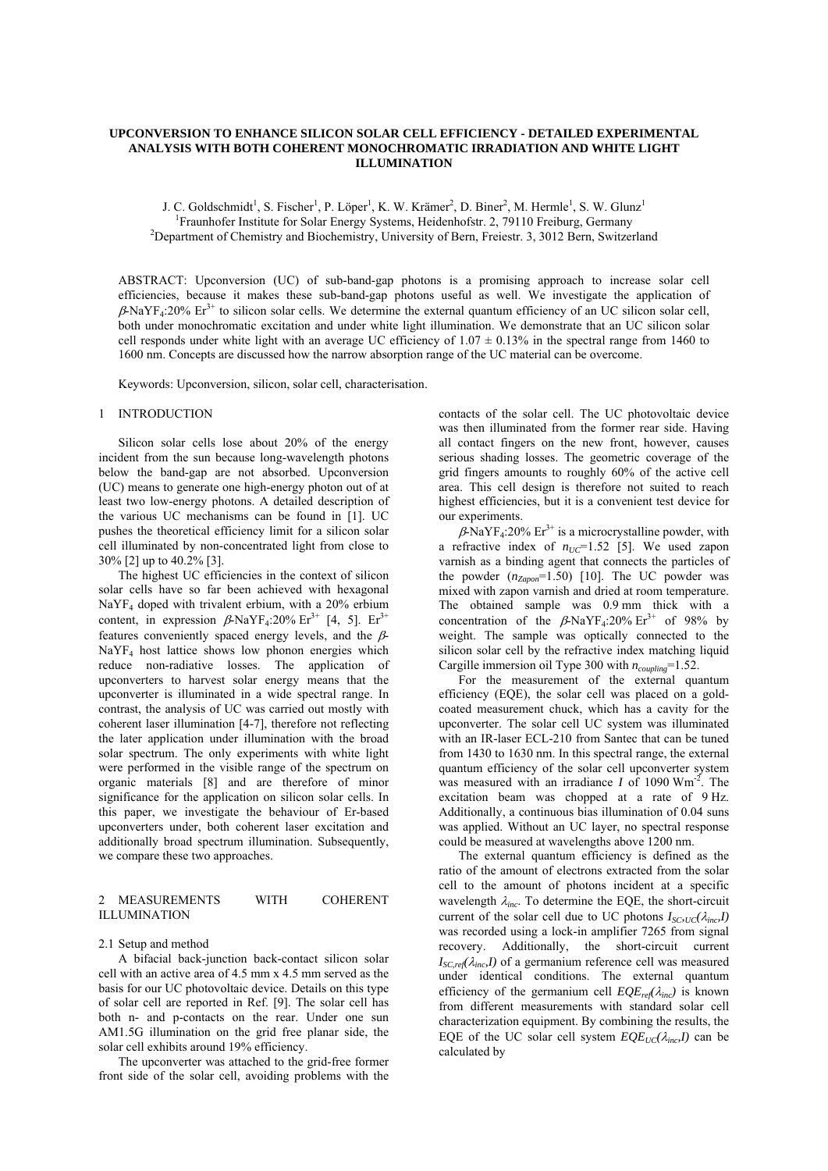## **UPCONVERSION TO ENHANCE SILICON SOLAR CELL EFFICIENCY - DETAILED EXPERIMENTAL ANALYSIS WITH BOTH COHERENT MONOCHROMATIC IRRADIATION AND WHITE LIGHT ILLUMINATION**

J. C. Goldschmidt<sup>1</sup>, S. Fischer<sup>1</sup>, P. Löper<sup>1</sup>, K. W. Krämer<sup>2</sup>, D. Biner<sup>2</sup>, M. Hermle<sup>1</sup>, S. W. Glunz<sup>1</sup> <sup>1</sup> Fraunhofer Institute for Solar Energy Systems, Heidenhofstr. 2, 79110 Freiburg, Germany<br><sup>2</sup> Department of Chamistry and Biochamistry, Haiversity of Barn Engiestr. 2, 2012 Barn, Switzer <sup>2</sup>Department of Chemistry and Biochemistry, University of Bern, Freiestr. 3, 3012 Bern, Switzerland

ABSTRACT: Upconversion (UC) of sub-band-gap photons is a promising approach to increase solar cell efficiencies, because it makes these sub-band-gap photons useful as well. We investigate the application of  $\beta$ -NaYF<sub>4</sub>:20% Er<sup>3+</sup> to silicon solar cells. We determine the external quantum efficiency of an UC silicon solar cell, both under monochromatic excitation and under white light illumination. We demonstrate that an UC silicon solar cell responds under white light with an average UC efficiency of  $1.07 \pm 0.13\%$  in the spectral range from 1460 to 1600 nm. Concepts are discussed how the narrow absorption range of the UC material can be overcome.

Keywords: Upconversion, silicon, solar cell, characterisation.

#### 1 INTRODUCTION

Silicon solar cells lose about 20% of the energy incident from the sun because long-wavelength photons below the band-gap are not absorbed. Upconversion (UC) means to generate one high-energy photon out of at least two low-energy photons. A detailed description of the various UC mechanisms can be found in [1]. UC pushes the theoretical efficiency limit for a silicon solar cell illuminated by non-concentrated light from close to 30% [2] up to 40.2% [3].

The highest UC efficiencies in the context of silicon solar cells have so far been achieved with hexagonal  $NaYF<sub>4</sub>$  doped with trivalent erbium, with a 20% erbium content, in expression  $\beta$ -NaYF<sub>4</sub>:20% Er<sup>3+</sup> [4, 5]. Er<sup>3+</sup> features conveniently spaced energy levels, and the  $\beta$ -NaYF4 host lattice shows low phonon energies which reduce non-radiative losses. The application of upconverters to harvest solar energy means that the upconverter is illuminated in a wide spectral range. In contrast, the analysis of UC was carried out mostly with coherent laser illumination [4-7], therefore not reflecting the later application under illumination with the broad solar spectrum. The only experiments with white light were performed in the visible range of the spectrum on organic materials [8] and are therefore of minor significance for the application on silicon solar cells. In this paper, we investigate the behaviour of Er-based upconverters under, both coherent laser excitation and additionally broad spectrum illumination. Subsequently, we compare these two approaches.

### 2 MEASUREMENTS WITH COHERENT ILLUMINATION

### 2.1 Setup and method

A bifacial back-junction back-contact silicon solar cell with an active area of 4.5 mm x 4.5 mm served as the basis for our UC photovoltaic device. Details on this type of solar cell are reported in Ref. [9]. The solar cell has both n- and p-contacts on the rear. Under one sun AM1.5G illumination on the grid free planar side, the solar cell exhibits around 19% efficiency.

The upconverter was attached to the grid-free former front side of the solar cell, avoiding problems with the contacts of the solar cell. The UC photovoltaic device was then illuminated from the former rear side. Having all contact fingers on the new front, however, causes serious shading losses. The geometric coverage of the grid fingers amounts to roughly 60% of the active cell area. This cell design is therefore not suited to reach highest efficiencies, but it is a convenient test device for our experiments.

 $\beta$ -NaYF<sub>4</sub>:20% Er<sup>3+</sup> is a microcrystalline powder, with a refractive index of  $n_{UC}$ =1.52 [5]. We used zapon varnish as a binding agent that connects the particles of the powder  $(n_{Zapon} = 1.50)$  [10]. The UC powder was mixed with zapon varnish and dried at room temperature. The obtained sample was 0.9 mm thick with a concentration of the  $\beta$ -NaYF<sub>4</sub>:20% Er<sup>3+</sup> of 98% by weight. The sample was optically connected to the silicon solar cell by the refractive index matching liquid Cargille immersion oil Type 300 with *ncoupling*=1.52.

For the measurement of the external quantum efficiency (EQE), the solar cell was placed on a goldcoated measurement chuck, which has a cavity for the upconverter. The solar cell UC system was illuminated with an IR-laser ECL-210 from Santec that can be tuned from 1430 to 1630 nm. In this spectral range, the external quantum efficiency of the solar cell upconverter system was measured with an irradiance *I* of 1090 Wm-2. The excitation beam was chopped at a rate of 9 Hz. Additionally, a continuous bias illumination of 0.04 suns was applied. Without an UC layer, no spectral response could be measured at wavelengths above 1200 nm.

The external quantum efficiency is defined as the ratio of the amount of electrons extracted from the solar cell to the amount of photons incident at a specific wavelength  $\lambda_{inc}$ . To determine the EQE, the short-circuit current of the solar cell due to UC photons  $I_{SC,UC}(\lambda_{inc},I)$ was recorded using a lock-in amplifier 7265 from signal recovery. Additionally, the short-circuit current  $I_{SC,ref}(\lambda_{inc}I)$  of a germanium reference cell was measured under identical conditions. The external quantum efficiency of the germanium cell  $EQE_{ref}(\lambda_{inc})$  is known from different measurements with standard solar cell characterization equipment. By combining the results, the EQE of the UC solar cell system  $EQE_{UC}(\lambda_{inc}I)$  can be calculated by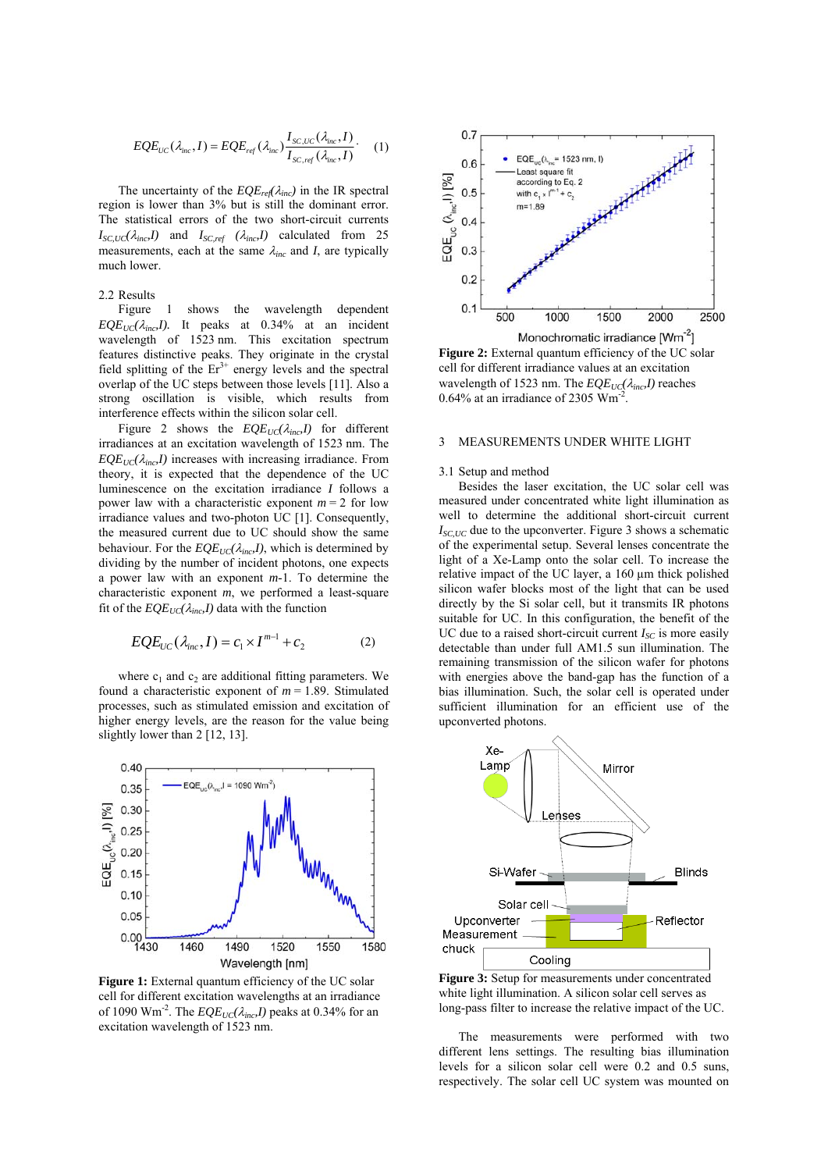$$
EQE_{UC}(\lambda_{inc}, I) = EQE_{ref}(\lambda_{inc}) \frac{I_{SC,UC}(\lambda_{inc}, I)}{I_{SC,ref}(\lambda_{inc}, I)}.
$$
 (1)

The uncertainty of the  $EQE_{ref}(\lambda_{inc})$  in the IR spectral region is lower than 3% but is still the dominant error. The statistical errors of the two short-circuit currents  $I_{SC,UC}(\lambda_{inc}, I)$  and  $I_{SC,ref}(\lambda_{inc}, I)$  calculated from 25 measurements, each at the same  $\lambda_{inc}$  and *I*, are typically much lower.

# 2.2 Results

Figure 1 shows the wavelength dependent  $EQE_{UC}(\lambda_{inc}, I)$ . It peaks at 0.34% at an incident wavelength of 1523 nm. This excitation spectrum features distinctive peaks. They originate in the crystal field splitting of the  $Er^{3+}$  energy levels and the spectral overlap of the UC steps between those levels [11]. Also a strong oscillation is visible, which results from interference effects within the silicon solar cell.

Figure 2 shows the  $EQE_{UC}(\lambda_{inc},I)$  for different irradiances at an excitation wavelength of 1523 nm. The  $EQE_{UC}(\lambda_{inc}I)$  increases with increasing irradiance. From theory, it is expected that the dependence of the UC luminescence on the excitation irradiance *I* follows a power law with a characteristic exponent  $m = 2$  for low irradiance values and two-photon UC [1]. Consequently, the measured current due to UC should show the same behaviour. For the  $EQE_{UC}(\lambda_{inc},I)$ , which is determined by dividing by the number of incident photons, one expects a power law with an exponent *m*-1. To determine the characteristic exponent *m*, we performed a least-square fit of the  $EQE_{UC}(\lambda_{inc}I)$  data with the function

$$
EQE_{UC}(\lambda_{inc}, I) = c_1 \times I^{m-1} + c_2 \tag{2}
$$

where  $c_1$  and  $c_2$  are additional fitting parameters. We found a characteristic exponent of  $m = 1.89$ . Stimulated processes, such as stimulated emission and excitation of higher energy levels, are the reason for the value being slightly lower than 2 [12, 13].



Figure 1: External quantum efficiency of the UC solar cell for different excitation wavelengths at an irradiance of 1090 Wm<sup>-2</sup>. The  $EQE_{UC}(\lambda_{inc},I)$  peaks at 0.34% for an excitation wavelength of 1523 nm.



**Figure 2:** External quantum efficiency of the UC solar cell for different irradiance values at an excitation wavelength of 1523 nm. The *EQE<sub>UC</sub>*( $λ<sub>inc</sub>, I$ ) reaches  $0.64\%$  at an irradiance of 2305 Wm<sup>-2</sup>

#### 3 MEASUREMENTS UNDER WHITE LIGHT

#### 3.1 Setup and method

Besides the laser excitation, the UC solar cell was measured under concentrated white light illumination as well to determine the additional short-circuit current  $I_{SCIIC}$  due to the upconverter. Figure 3 shows a schematic of the experimental setup. Several lenses concentrate the light of a Xe-Lamp onto the solar cell. To increase the relative impact of the UC layer, a 160 µm thick polished silicon wafer blocks most of the light that can be used directly by the Si solar cell, but it transmits IR photons suitable for UC. In this configuration, the benefit of the UC due to a raised short-circuit current  $I_{SC}$  is more easily detectable than under full AM1.5 sun illumination. The remaining transmission of the silicon wafer for photons with energies above the band-gap has the function of a bias illumination. Such, the solar cell is operated under sufficient illumination for an efficient use of the upconverted photons.



**Figure 3:** Setup for measurements under concentrated white light illumination. A silicon solar cell serves as long-pass filter to increase the relative impact of the UC.

The measurements were performed with two different lens settings. The resulting bias illumination levels for a silicon solar cell were 0.2 and 0.5 suns, respectively. The solar cell UC system was mounted on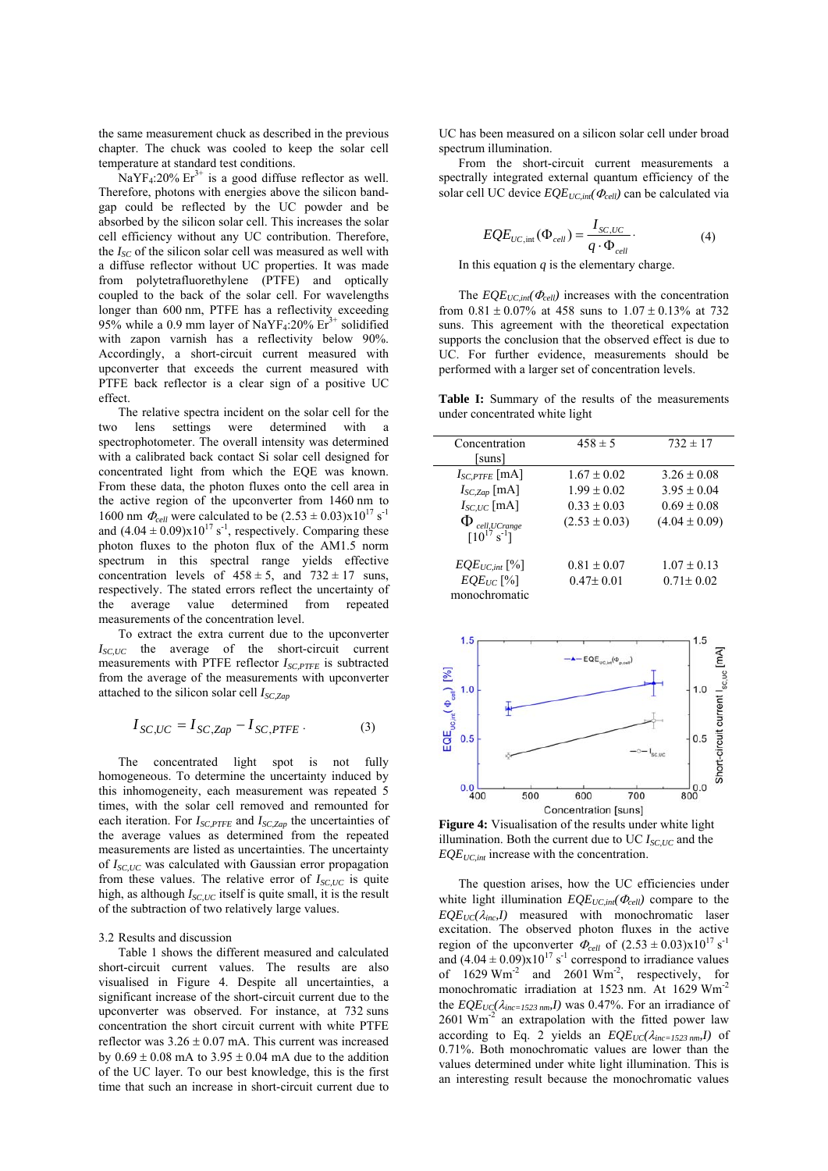the same measurement chuck as described in the previous chapter. The chuck was cooled to keep the solar cell temperature at standard test conditions.

 $\text{NaYF}_4$ :20%  $\text{Er}^{3+}$  is a good diffuse reflector as well. Therefore, photons with energies above the silicon bandgap could be reflected by the UC powder and be absorbed by the silicon solar cell. This increases the solar cell efficiency without any UC contribution. Therefore, the *I<sub>SC</sub>* of the silicon solar cell was measured as well with a diffuse reflector without UC properties. It was made from polytetrafluorethylene (PTFE) and optically coupled to the back of the solar cell. For wavelengths longer than 600 nm, PTFE has a reflectivity exceeding 95% while a 0.9 mm layer of NaYF<sub>4</sub>:20%  $Er<sup>3+</sup>$  solidified with zapon varnish has a reflectivity below 90%. Accordingly, a short-circuit current measured with upconverter that exceeds the current measured with PTFE back reflector is a clear sign of a positive UC effect.

The relative spectra incident on the solar cell for the two lens settings were determined with a spectrophotometer. The overall intensity was determined with a calibrated back contact Si solar cell designed for concentrated light from which the EQE was known. From these data, the photon fluxes onto the cell area in the active region of the upconverter from 1460 nm to 1600 nm  $\Phi_{cell}$  were calculated to be  $(2.53 \pm 0.03) \times 10^{17} \text{ s}^{-1}$ and  $(4.04 \pm 0.09)x10^{17}$  s<sup>-1</sup>, respectively. Comparing these photon fluxes to the photon flux of the AM1.5 norm spectrum in this spectral range yields effective concentration levels of  $458 \pm 5$ , and  $732 \pm 17$  suns, respectively. The stated errors reflect the uncertainty of the average value determined from repeated measurements of the concentration level.

To extract the extra current due to the upconverter  $I_{SC,UC}$  the average of the short-circuit current measurements with PTFE reflector *I<sub>SC PTFF</sub>* is subtracted from the average of the measurements with upconverter attached to the silicon solar cell *ISC,Zap*

$$
I_{SC,UC} = I_{SC,Zap} - I_{SC,PTFE}.
$$
 (3)

The concentrated light spot is not fully homogeneous. To determine the uncertainty induced by this inhomogeneity, each measurement was repeated 5 times, with the solar cell removed and remounted for each iteration. For  $I_{SC,PTFE}$  and  $I_{SC,Zap}$  the uncertainties of the average values as determined from the repeated measurements are listed as uncertainties. The uncertainty of *I<sub>SC,UC</sub>* was calculated with Gaussian error propagation from these values. The relative error of  $I_{SC,UC}$  is quite high, as although  $I_{SCHC}$  itself is quite small, it is the result of the subtraction of two relatively large values.

3.2 Results and discussion

Table 1 shows the different measured and calculated short-circuit current values. The results are also visualised in Figure 4. Despite all uncertainties, a significant increase of the short-circuit current due to the upconverter was observed. For instance, at 732 suns concentration the short circuit current with white PTFE reflector was  $3.26 \pm 0.07$  mA. This current was increased by  $0.69 \pm 0.08$  mA to  $3.95 \pm 0.04$  mA due to the addition of the UC layer. To our best knowledge, this is the first time that such an increase in short-circuit current due to

UC has been measured on a silicon solar cell under broad spectrum illumination.

From the short-circuit current measurements a spectrally integrated external quantum efficiency of the solar cell UC device  $EQE_{UC,in}(\Phi_{cell})$  can be calculated via

$$
EQE_{UC, \text{int}}(\Phi_{cell}) = \frac{I_{SC, UC}}{q \cdot \Phi_{cell}}.
$$
 (4)

In this equation  $q$  is the elementary charge.

The  $EQE_{UC,int}(\Phi_{cell})$  increases with the concentration from  $0.81 \pm 0.07\%$  at 458 suns to  $1.07 \pm 0.13\%$  at 732 suns. This agreement with the theoretical expectation supports the conclusion that the observed effect is due to UC. For further evidence, measurements should be performed with a larger set of concentration levels.

**Table I:** Summary of the results of the measurements under concentrated white light

| Concentration              | $458 \pm 5$       | $732 \pm 17$      |
|----------------------------|-------------------|-------------------|
| [suns]                     |                   |                   |
| $I_{SC,PTFE}$ [mA]         | $1.67 \pm 0.02$   | $3.26 \pm 0.08$   |
| $I_{SC,Zap}$ [mA]          | $1.99 \pm 0.02$   | $3.95 \pm 0.04$   |
| $I_{SC,UC}$ [mA]           | $0.33 \pm 0.03$   | $0.69 \pm 0.08$   |
| $\Phi$ cell, UCrange       | $(2.53 \pm 0.03)$ | $(4.04 \pm 0.09)$ |
| $[10^{17} \text{ s}^{-1}]$ |                   |                   |
| $EQE_{UC,in}$ [%]          | $0.81 \pm 0.07$   | $1.07 \pm 0.13$   |
| $EQE_{UC}$ [%]             | $0.47 \pm 0.01$   | $0.71 \pm 0.02$   |
| monochromatic              |                   |                   |



**Figure 4:** Visualisation of the results under white light illumination. Both the current due to UC  $I_{SC,UC}$  and the  $EQE<sub>UC,int</sub>$  increase with the concentration.

The question arises, how the UC efficiencies under white light illumination  $EQE<sub>UC,int</sub>(Φ<sub>cell</sub>)$  compare to the  $EQE_{UC}(\lambda_{inc}, I)$  measured with monochromatic laser excitation. The observed photon fluxes in the active region of the upconverter  $\Phi_{cell}$  of  $(2.53 \pm 0.03) \times 10^{17}$  s<sup>-1</sup> and  $(4.04 \pm 0.09)x10^{17}$  s<sup>-1</sup> correspond to irradiance values of  $1629 \text{ Wm}^2$  and  $2601 \text{ Wm}^2$ , respectively, for monochromatic irradiation at 1523 nm. At 1629 Wm-2 the  $EQE_{UC}(\lambda_{inc=1523\ nm}I)$  was 0.47%. For an irradiance of  $2601$  Wm<sup>-2</sup> an extrapolation with the fitted power law according to Eq. 2 yields an  $EQE_{UC}(\lambda_{inc=1523\ nm}I)$  of 0.71%. Both monochromatic values are lower than the values determined under white light illumination. This is an interesting result because the monochromatic values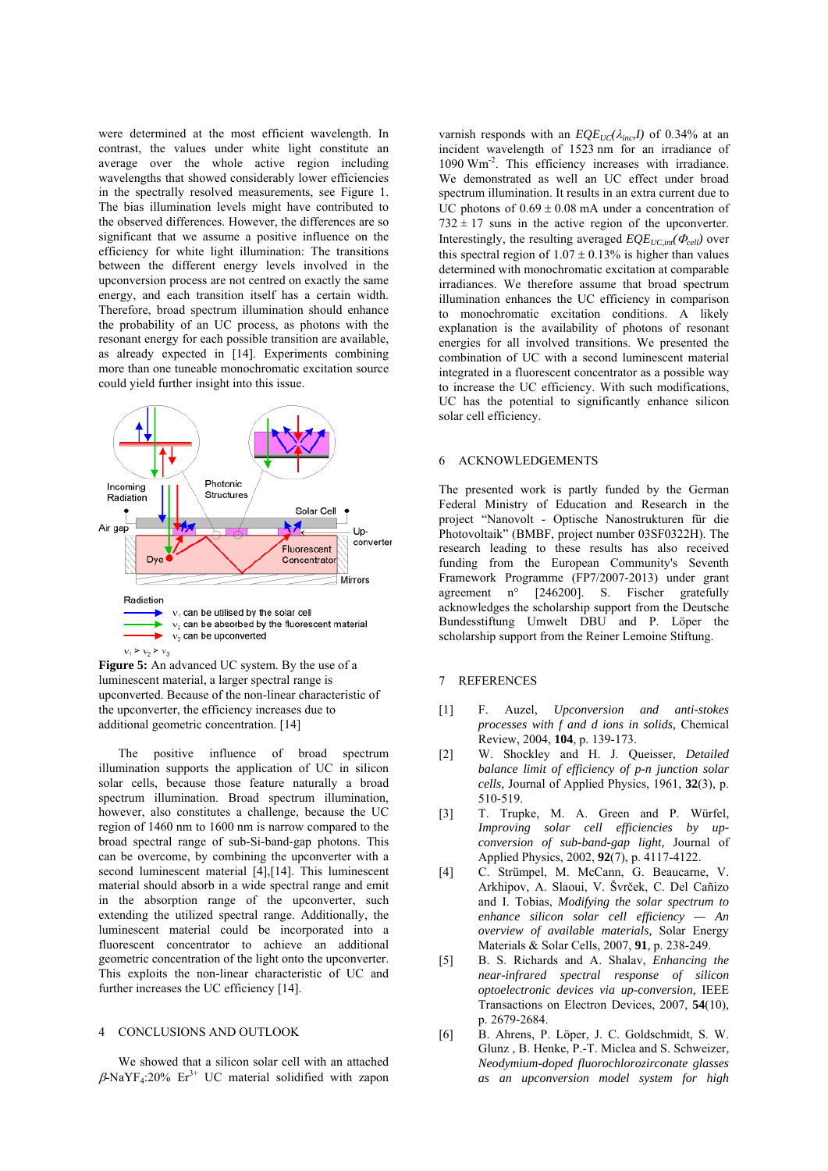were determined at the most efficient wavelength. In contrast, the values under white light constitute an average over the whole active region including wavelengths that showed considerably lower efficiencies in the spectrally resolved measurements, see Figure 1. The bias illumination levels might have contributed to the observed differences. However, the differences are so significant that we assume a positive influence on the efficiency for white light illumination: The transitions between the different energy levels involved in the upconversion process are not centred on exactly the same energy, and each transition itself has a certain width. Therefore, broad spectrum illumination should enhance the probability of an UC process, as photons with the resonant energy for each possible transition are available, as already expected in [14]. Experiments combining more than one tuneable monochromatic excitation source could yield further insight into this issue.



**Figure 5:** An advanced UC system. By the use of a luminescent material, a larger spectral range is upconverted. Because of the non-linear characteristic of the upconverter, the efficiency increases due to additional geometric concentration. [14]

The positive influence of broad spectrum illumination supports the application of UC in silicon solar cells, because those feature naturally a broad spectrum illumination. Broad spectrum illumination, however, also constitutes a challenge, because the UC region of 1460 nm to 1600 nm is narrow compared to the broad spectral range of sub-Si-band-gap photons. This can be overcome, by combining the upconverter with a second luminescent material [4],[14]. This luminescent material should absorb in a wide spectral range and emit in the absorption range of the upconverter, such extending the utilized spectral range. Additionally, the luminescent material could be incorporated into a fluorescent concentrator to achieve an additional geometric concentration of the light onto the upconverter. This exploits the non-linear characteristic of UC and further increases the UC efficiency [14].

## 4 CONCLUSIONS AND OUTLOOK

We showed that a silicon solar cell with an attached  $\beta$ -NaYF<sub>4</sub>:20% Er<sup>3+</sup> UC material solidified with zapon varnish responds with an  $EQE_{UC}(\lambda_{inc}I)$  of 0.34% at an incident wavelength of 1523 nm for an irradiance of 1090 Wm<sup>-2</sup>. This efficiency increases with irradiance. We demonstrated as well an UC effect under broad spectrum illumination. It results in an extra current due to UC photons of  $0.69 \pm 0.08$  mA under a concentration of  $732 \pm 17$  suns in the active region of the upconverter. Interestingly, the resulting averaged  $EQE_{UC,in}(\Phi_{cell})$  over this spectral region of  $1.07 + 0.13\%$  is higher than values determined with monochromatic excitation at comparable irradiances. We therefore assume that broad spectrum illumination enhances the UC efficiency in comparison to monochromatic excitation conditions. A likely explanation is the availability of photons of resonant energies for all involved transitions. We presented the combination of UC with a second luminescent material integrated in a fluorescent concentrator as a possible way to increase the UC efficiency. With such modifications, UC has the potential to significantly enhance silicon solar cell efficiency.

## 6 ACKNOWLEDGEMENTS

The presented work is partly funded by the German Federal Ministry of Education and Research in the project "Nanovolt - Optische Nanostrukturen für die Photovoltaik" (BMBF, project number 03SF0322H). The research leading to these results has also received funding from the European Community's Seventh Framework Programme (FP7/2007-2013) under grant agreement n° [246200]. S. Fischer gratefully acknowledges the scholarship support from the Deutsche Bundesstiftung Umwelt DBU and P. Löper the scholarship support from the Reiner Lemoine Stiftung.

# 7 REFERENCES

- [1] F. Auzel, *Upconversion and anti-stokes processes with f and d ions in solids,* Chemical Review, 2004, **104**, p. 139-173.
- [2] W. Shockley and H. J. Queisser, *Detailed balance limit of efficiency of p-n junction solar cells,* Journal of Applied Physics, 1961, **32**(3), p. 510-519.
- [3] T. Trupke, M. A. Green and P. Würfel, *Improving solar cell efficiencies by upconversion of sub-band-gap light,* Journal of Applied Physics, 2002, **92**(7), p. 4117-4122.
- [4] C. Strümpel, M. McCann, G. Beaucarne, V. Arkhipov, A. Slaoui, V. Švrček, C. Del Cañizo and I. Tobias, *Modifying the solar spectrum to enhance silicon solar cell efficiency — An overview of available materials,* Solar Energy Materials & Solar Cells, 2007, **91**, p. 238-249.
- [5] B. S. Richards and A. Shalav, *Enhancing the near-infrared spectral response of silicon optoelectronic devices via up-conversion,* IEEE Transactions on Electron Devices, 2007, **54**(10), p. 2679-2684.
- [6] B. Ahrens, P. Löper, J. C. Goldschmidt, S. W. Glunz , B. Henke, P.-T. Miclea and S. Schweizer, *Neodymium-doped fluorochlorozirconate glasses as an upconversion model system for high*